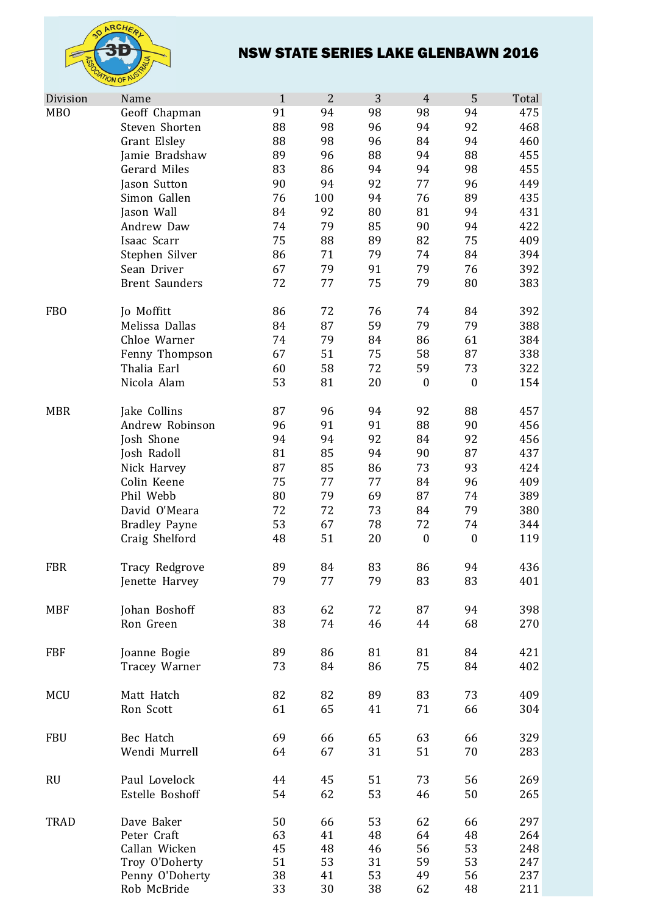

## NSW STATE SERIES LAKE GLENBAWN 2016

| Division        | Name                           | $\mathbf{1}$ | $\overline{2}$ | 3        | $\overline{4}$   | 5                | Total      |
|-----------------|--------------------------------|--------------|----------------|----------|------------------|------------------|------------|
| <b>MBO</b>      | Geoff Chapman                  | 91           | 94             | 98       | 98               | 94               | 475        |
|                 | Steven Shorten                 | 88           | 98             | 96       | 94               | 92               | 468        |
|                 | Grant Elsley                   | 88           | 98             | 96       | 84               | 94               | 460        |
|                 | Jamie Bradshaw                 | 89           | 96             | 88       | 94               | 88               | 455        |
|                 | Gerard Miles                   | 83           | 86             | 94       | 94               | 98               | 455        |
|                 | Jason Sutton                   | 90           | 94             | 92       | 77               | 96               | 449        |
|                 | Simon Gallen                   | 76           | 100            | 94       | 76               | 89               | 435        |
|                 | Jason Wall                     | 84           | 92             | 80       | 81               | 94               | 431        |
|                 | Andrew Daw                     | 74           | 79             | 85       | 90               | 94               | 422        |
|                 | Isaac Scarr                    | 75           | 88             | 89       | 82               | 75               | 409        |
|                 | Stephen Silver                 | 86           | 71             | 79       | 74               | 84               | 394        |
|                 | Sean Driver                    | 67           | 79             | 91       | 79               | 76               | 392        |
|                 | <b>Brent Saunders</b>          | 72           | 77             | 75       | 79               | 80               | 383        |
| FB <sub>O</sub> | Jo Moffitt                     | 86           | 72             | 76       | 74               | 84               | 392        |
|                 | Melissa Dallas                 | 84           | 87             | 59       | 79               | 79               | 388        |
|                 | Chloe Warner                   | 74           | 79             | 84       | 86               | 61               | 384        |
|                 | Fenny Thompson                 | 67           | 51             | 75       | 58               | 87               | 338        |
|                 | Thalia Earl                    | 60           | 58             | 72       | 59               | 73               | 322        |
|                 | Nicola Alam                    | 53           | 81             | 20       | $\boldsymbol{0}$ | $\boldsymbol{0}$ | 154        |
| <b>MBR</b>      | Jake Collins                   | 87           | 96             | 94       | 92               | 88               | 457        |
|                 | Andrew Robinson                | 96           | 91             | 91       | 88               | 90               | 456        |
|                 | Josh Shone                     | 94           | 94             | 92       | 84               | 92               | 456        |
|                 | Josh Radoll                    | 81           | 85             | 94       | 90               | 87               | 437        |
|                 | Nick Harvey                    | 87           | 85             | 86       | 73               | 93               | 424        |
|                 | Colin Keene                    | 75           | 77             | 77       | 84               | 96               | 409        |
|                 | Phil Webb                      | 80           | 79             | 69       | 87               | 74               | 389        |
|                 | David O'Meara                  | 72           | 72             | 73       | 84               | 79               | 380        |
|                 | <b>Bradley Payne</b>           | 53           | 67             | 78       | 72               | 74               | 344        |
|                 | Craig Shelford                 | 48           | 51             | 20       | $\boldsymbol{0}$ | $\boldsymbol{0}$ | 119        |
| <b>FBR</b>      | Tracy Redgrove                 | 89           | 84             | 83       | 86               | 94               | 436        |
|                 | Jenette Harvey                 | 79           | 77             | 79       | 83               | 83               | 401        |
| <b>MBF</b>      | Johan Boshoff                  | 83           | 62             | 72       | 87               | 94               | 398        |
|                 | Ron Green                      | 38           | 74             | 46       | 44               | 68               | 270        |
|                 |                                |              |                |          |                  |                  |            |
| <b>FBF</b>      | Joanne Bogie                   | 89           | 86             | 81       | 81               | 84               | 421        |
|                 | Tracey Warner                  | 73           | 84             | 86       | 75               | 84               | 402        |
| <b>MCU</b>      | Matt Hatch                     | 82           | 82             | 89       | 83               | 73               | 409        |
|                 | Ron Scott                      | 61           | 65             | 41       | 71               | 66               | 304        |
| <b>FBU</b>      | Bec Hatch                      | 69           | 66             | 65       | 63               | 66               | 329        |
|                 | Wendi Murrell                  | 64           | 67             | 31       | 51               | 70               | 283        |
|                 |                                |              |                |          |                  |                  |            |
| <b>RU</b>       | Paul Lovelock                  | 44           | 45             | 51       | 73               | 56               | 269        |
|                 | Estelle Boshoff                | 54           | 62             | 53       | 46               | 50               | 265        |
| <b>TRAD</b>     | Dave Baker                     | 50           | 66             | 53       | 62               | 66               | 297        |
|                 | Peter Craft                    | 63           | 41             | 48       | 64               | 48               | 264        |
|                 | Callan Wicken                  | 45           | 48             | 46       | 56               | 53               | 248        |
|                 | Troy O'Doherty                 | 51           | 53             | 31       | 59               | 53               | 247        |
|                 | Penny O'Doherty<br>Rob McBride | 38<br>33     | 41<br>30       | 53<br>38 | 49<br>62         | 56<br>48         | 237<br>211 |
|                 |                                |              |                |          |                  |                  |            |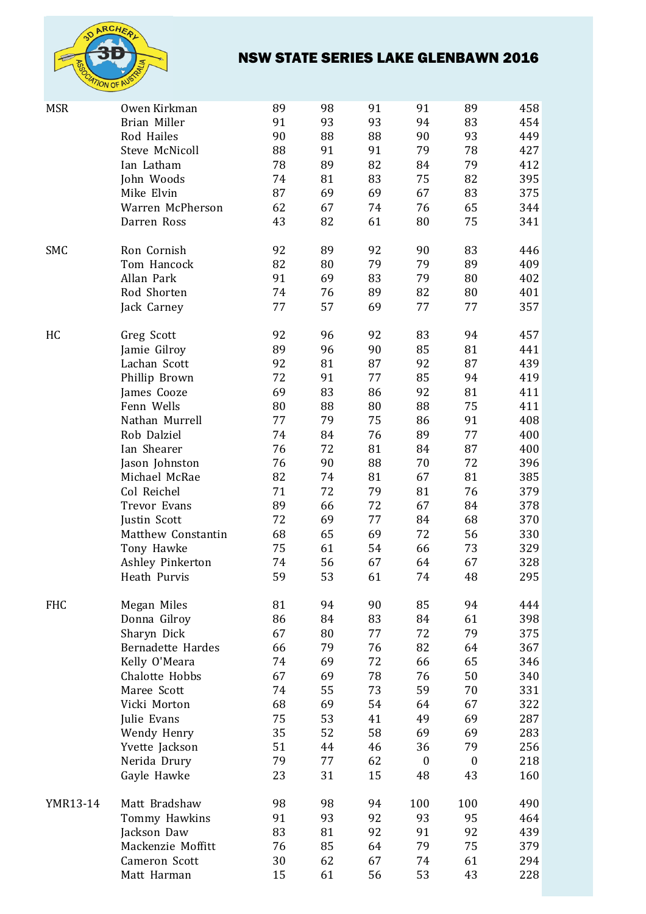

# NSW STATE SERIES LAKE GLENBAWN 2016

| <b>MSR</b>      | Owen Kirkman             | 89 | 98 | 91 | 91               | 89               | 458 |
|-----------------|--------------------------|----|----|----|------------------|------------------|-----|
|                 | Brian Miller             | 91 | 93 | 93 | 94               | 83               | 454 |
|                 | Rod Hailes               | 90 | 88 | 88 | 90               | 93               | 449 |
|                 | <b>Steve McNicoll</b>    | 88 | 91 | 91 | 79               | 78               | 427 |
|                 | Ian Latham               | 78 | 89 | 82 | 84               | 79               | 412 |
|                 | John Woods               | 74 | 81 | 83 | 75               | 82               | 395 |
|                 | Mike Elvin               | 87 | 69 | 69 | 67               | 83               | 375 |
|                 | Warren McPherson         | 62 | 67 | 74 | 76               | 65               | 344 |
|                 | Darren Ross              | 43 | 82 | 61 | 80               | 75               | 341 |
|                 |                          |    |    |    |                  |                  |     |
| SMC             | Ron Cornish              | 92 | 89 | 92 | 90               | 83               | 446 |
|                 | Tom Hancock              | 82 | 80 | 79 | 79               | 89               | 409 |
|                 | Allan Park               | 91 | 69 | 83 | 79               | 80               | 402 |
|                 | Rod Shorten              | 74 | 76 | 89 | 82               | 80               | 401 |
|                 | Jack Carney              | 77 | 57 | 69 | 77               | 77               | 357 |
|                 |                          |    |    |    |                  |                  |     |
| HC              | Greg Scott               | 92 | 96 | 92 | 83               | 94               | 457 |
|                 | Jamie Gilroy             | 89 | 96 | 90 | 85               | 81               | 441 |
|                 | Lachan Scott             | 92 | 81 | 87 | 92               | 87               | 439 |
|                 | Phillip Brown            | 72 | 91 | 77 | 85               | 94               | 419 |
|                 | James Cooze              | 69 | 83 | 86 | 92               | 81               | 411 |
|                 | Fenn Wells               | 80 | 88 | 80 | 88               | 75               | 411 |
|                 | Nathan Murrell           | 77 | 79 | 75 | 86               | 91               | 408 |
|                 | Rob Dalziel              | 74 | 84 | 76 | 89               | 77               | 400 |
|                 | Ian Shearer              | 76 | 72 | 81 | 84               | 87               | 400 |
|                 |                          | 76 | 90 | 88 | 70               | 72               | 396 |
|                 | Jason Johnston           |    |    |    |                  |                  |     |
|                 | Michael McRae            | 82 | 74 | 81 | 67               | 81               | 385 |
|                 | Col Reichel              | 71 | 72 | 79 | 81               | 76               | 379 |
|                 | <b>Trevor Evans</b>      | 89 | 66 | 72 | 67               | 84               | 378 |
|                 | Justin Scott             | 72 | 69 | 77 | 84               | 68               | 370 |
|                 | Matthew Constantin       | 68 | 65 | 69 | 72               | 56               | 330 |
|                 | Tony Hawke               | 75 | 61 | 54 | 66               | 73               | 329 |
|                 | Ashley Pinkerton         | 74 | 56 | 67 | 64               | 67               | 328 |
|                 | Heath Purvis             | 59 | 53 | 61 | 74               | 48               | 295 |
|                 |                          |    |    |    |                  |                  |     |
| <b>FHC</b>      | Megan Miles              | 81 | 94 | 90 | 85               | 94               | 444 |
|                 | Donna Gilroy             | 86 | 84 | 83 | 84               | 61               | 398 |
|                 | Sharyn Dick              | 67 | 80 | 77 | 72               | 79               | 375 |
|                 | <b>Bernadette Hardes</b> | 66 | 79 | 76 | 82               | 64               | 367 |
|                 | Kelly O'Meara            | 74 | 69 | 72 | 66               | 65               | 346 |
|                 | Chalotte Hobbs           | 67 | 69 | 78 | 76               | 50               | 340 |
|                 | Maree Scott              | 74 | 55 | 73 | 59               | 70               | 331 |
|                 | Vicki Morton             | 68 | 69 | 54 | 64               | 67               | 322 |
|                 | Julie Evans              | 75 | 53 | 41 | 49               | 69               | 287 |
|                 | Wendy Henry              | 35 | 52 | 58 | 69               | 69               | 283 |
|                 | Yvette Jackson           | 51 | 44 | 46 | 36               | 79               | 256 |
|                 | Nerida Drury             | 79 | 77 | 62 | $\boldsymbol{0}$ | $\boldsymbol{0}$ | 218 |
|                 | Gayle Hawke              | 23 | 31 | 15 | 48               | 43               | 160 |
|                 |                          |    |    |    |                  |                  |     |
| <b>YMR13-14</b> | Matt Bradshaw            | 98 | 98 | 94 | 100              | 100              | 490 |
|                 | Tommy Hawkins            | 91 | 93 | 92 | 93               | 95               | 464 |
|                 | Jackson Daw              | 83 | 81 | 92 | 91               | 92               | 439 |
|                 | Mackenzie Moffitt        | 76 | 85 | 64 | 79               | 75               | 379 |
|                 | Cameron Scott            | 30 | 62 | 67 | 74               | 61               | 294 |
|                 | Matt Harman              | 15 | 61 | 56 | 53               | 43               | 228 |